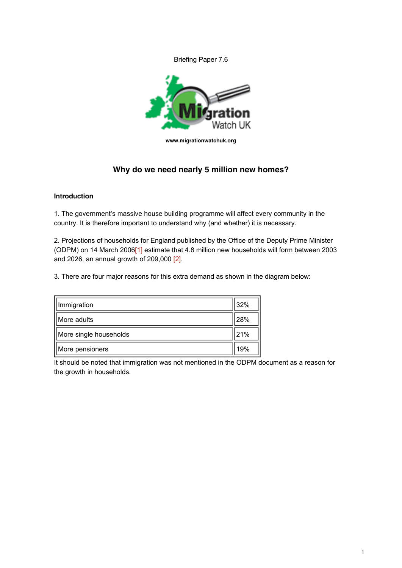Briefing Paper 7.6



**www.migrationwatchuk.org**

# **Why do we need nearly 5 million new homes?**

### **Introduction**

1. The government's massive house building programme will affect every community in the country. It is therefore important to understand why (and whether) it is necessary.

2. Projections of households for England published by the Office of the Deputy Prime Minister (ODPM) on 14 March 2006[1] estimate that 4.8 million new households will form between 2003 and 2026, an annual growth of 209,000 [2].

3. There are four major reasons for this extra demand as shown in the diagram below:

| Immigration            | 32%  |
|------------------------|------|
| More adults            | '28% |
| More single households | 21%  |
| More pensioners        | 19%  |

It should be noted that immigration was not mentioned in the ODPM document as a reason for the growth in households.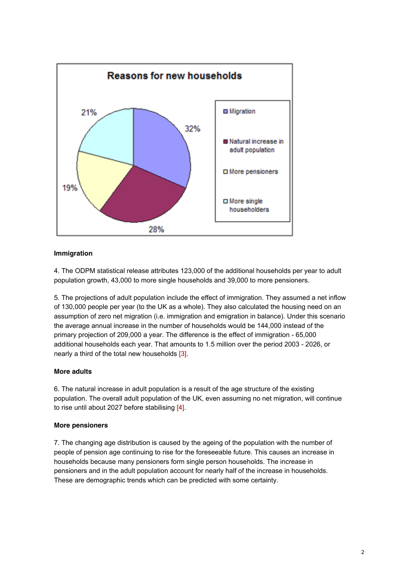

### **Immigration**

4. The ODPM statistical release attributes 123,000 of the additional households per year to adult population growth, 43,000 to more single households and 39,000 to more pensioners.

5. The projections of adult population include the effect of immigration. They assumed a net inflow of 130,000 people per year (to the UK as a whole). They also calculated the housing need on an assumption of zero net migration (i.e. immigration and emigration in balance). Under this scenario the average annual increase in the number of households would be 144,000 instead of the primary projection of 209,000 a year. The difference is the effect of immigration - 65,000 additional households each year. That amounts to 1.5 million over the period 2003 - 2026, or nearly a third of the total new households [3].

#### **More adults**

6. The natural increase in adult population is a result of the age structure of the existing population. The overall adult population of the UK, even assuming no net migration, will continue to rise until about 2027 before stabilising [4].

#### **More pensioners**

7. The changing age distribution is caused by the ageing of the population with the number of people of pension age continuing to rise for the foreseeable future. This causes an increase in households because many pensioners form single person households. The increase in pensioners and in the adult population account for nearly half of the increase in households. These are demographic trends which can be predicted with some certainty.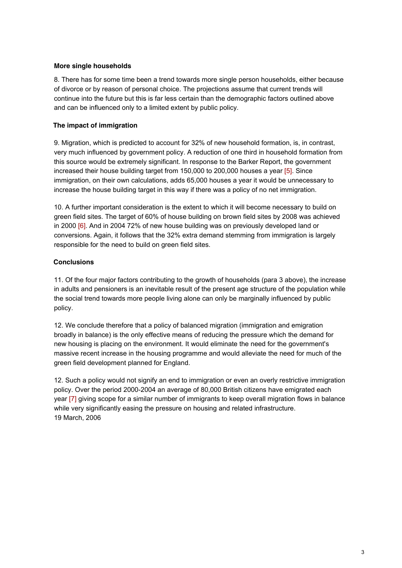### **More single households**

8. There has for some time been a trend towards more single person households, either because of divorce or by reason of personal choice. The projections assume that current trends will continue into the future but this is far less certain than the demographic factors outlined above and can be influenced only to a limited extent by public policy.

## **The impact of immigration**

9. Migration, which is predicted to account for 32% of new household formation, is, in contrast, very much influenced by government policy. A reduction of one third in household formation from this source would be extremely significant. In response to the Barker Report, the government increased their house building target from 150,000 to 200,000 houses a year [5]. Since immigration, on their own calculations, adds 65,000 houses a year it would be unnecessary to increase the house building target in this way if there was a policy of no net immigration.

10. A further important consideration is the extent to which it will become necessary to build on green field sites. The target of 60% of house building on brown field sites by 2008 was achieved in 2000 [6]. And in 2004 72% of new house building was on previously developed land or conversions. Again, it follows that the 32% extra demand stemming from immigration is largely responsible for the need to build on green field sites.

# **Conclusions**

11. Of the four major factors contributing to the growth of households (para 3 above), the increase in adults and pensioners is an inevitable result of the present age structure of the population while the social trend towards more people living alone can only be marginally influenced by public policy.

12. We conclude therefore that a policy of balanced migration (immigration and emigration broadly in balance) is the only effective means of reducing the pressure which the demand for new housing is placing on the environment. It would eliminate the need for the government's massive recent increase in the housing programme and would alleviate the need for much of the green field development planned for England.

12. Such a policy would not signify an end to immigration or even an overly restrictive immigration policy. Over the period 2000-2004 an average of 80,000 British citizens have emigrated each year [7] giving scope for a similar number of immigrants to keep overall migration flows in balance while very significantly easing the pressure on housing and related infrastructure. 19 March, 2006